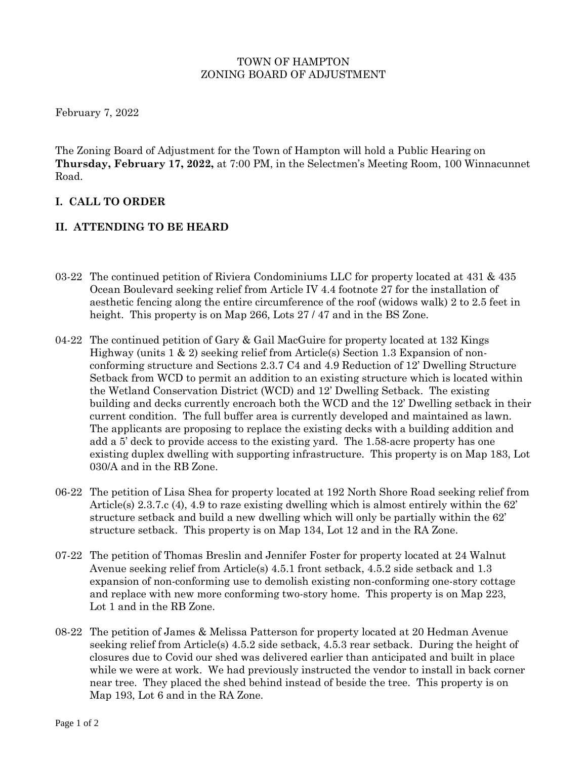#### TOWN OF HAMPTON ZONING BOARD OF ADJUSTMENT

February 7, 2022

The Zoning Board of Adjustment for the Town of Hampton will hold a Public Hearing on **Thursday, February 17, 2022,** at 7:00 PM, in the Selectmen's Meeting Room, 100 Winnacunnet Road.

## **I. CALL TO ORDER**

### **II. ATTENDING TO BE HEARD**

- 03-22 The continued petition of Riviera Condominiums LLC for property located at 431 & 435 Ocean Boulevard seeking relief from Article IV 4.4 footnote 27 for the installation of aesthetic fencing along the entire circumference of the roof (widows walk) 2 to 2.5 feet in height. This property is on Map 266, Lots 27/47 and in the BS Zone.
- 04-22 The continued petition of Gary & Gail MacGuire for property located at 132 Kings Highway (units 1 & 2) seeking relief from Article(s) Section 1.3 Expansion of nonconforming structure and Sections 2.3.7 C4 and 4.9 Reduction of 12' Dwelling Structure Setback from WCD to permit an addition to an existing structure which is located within the Wetland Conservation District (WCD) and 12' Dwelling Setback. The existing building and decks currently encroach both the WCD and the 12' Dwelling setback in their current condition. The full buffer area is currently developed and maintained as lawn. The applicants are proposing to replace the existing decks with a building addition and add a 5' deck to provide access to the existing yard. The 1.58-acre property has one existing duplex dwelling with supporting infrastructure. This property is on Map 183, Lot 030/A and in the RB Zone.
- 06-22 The petition of Lisa Shea for property located at 192 North Shore Road seeking relief from Article(s) 2.3.7.c (4), 4.9 to raze existing dwelling which is almost entirely within the 62' structure setback and build a new dwelling which will only be partially within the 62' structure setback. This property is on Map 134, Lot 12 and in the RA Zone.
- 07-22 The petition of Thomas Breslin and Jennifer Foster for property located at 24 Walnut Avenue seeking relief from Article(s) 4.5.1 front setback, 4.5.2 side setback and 1.3 expansion of non-conforming use to demolish existing non-conforming one-story cottage and replace with new more conforming two-story home. This property is on Map 223, Lot 1 and in the RB Zone.
- 08-22 The petition of James & Melissa Patterson for property located at 20 Hedman Avenue seeking relief from Article(s) 4.5.2 side setback, 4.5.3 rear setback. During the height of closures due to Covid our shed was delivered earlier than anticipated and built in place while we were at work. We had previously instructed the vendor to install in back corner near tree. They placed the shed behind instead of beside the tree. This property is on Map 193, Lot 6 and in the RA Zone.